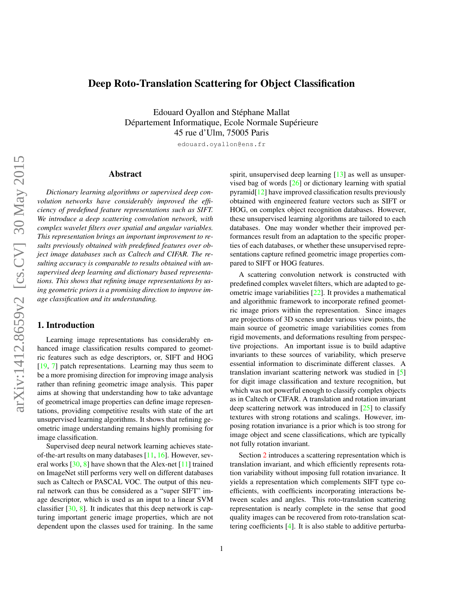# <span id="page-0-0"></span>Deep Roto-Translation Scattering for Object Classification

Edouard Oyallon and Stéphane Mallat Département Informatique, Ecole Normale Supérieure 45 rue d'Ulm, 75005 Paris

edouard.oyallon@ens.fr

### Abstract

*Dictionary learning algorithms or supervised deep convolution networks have considerably improved the efficiency of predefined feature representations such as SIFT. We introduce a deep scattering convolution network, with complex wavelet filters over spatial and angular variables. This representation brings an important improvement to results previously obtained with predefined features over object image databases such as Caltech and CIFAR. The resulting accuracy is comparable to results obtained with unsupervised deep learning and dictionary based representations. This shows that refining image representations by using geometric priors is a promising direction to improve image classification and its understanding.*

## 1. Introduction

Learning image representations has considerably enhanced image classification results compared to geometric features such as edge descriptors, or, SIFT and HOG [\[19,](#page-8-0) [7\]](#page-8-1) patch representations. Learning may thus seem to be a more promising direction for improving image analysis rather than refining geometric image analysis. This paper aims at showing that understanding how to take advantage of geometrical image properties can define image representations, providing competitive results with state of the art unsupervised learning algorithms. It shows that refining geometric image understanding remains highly promising for image classification.

Supervised deep neural network learning achieves stateof-the-art results on many databases [\[11,](#page-8-2) [16\]](#page-8-3). However, several works  $[30, 8]$  $[30, 8]$  $[30, 8]$  have shown that the Alex-net  $[11]$  trained on ImageNet still performs very well on different databases such as Caltech or PASCAL VOC. The output of this neural network can thus be considered as a "super SIFT" image descriptor, which is used as an input to a linear SVM classifier  $[30, 8]$  $[30, 8]$  $[30, 8]$ . It indicates that this deep network is capturing important generic image properties, which are not dependent upon the classes used for training. In the same spirit, unsupervised deep learning [\[13\]](#page-8-6) as well as unsupervised bag of words [\[26\]](#page-8-7) or dictionary learning with spatial pyramid[\[12\]](#page-8-8) have improved classification results previously obtained with engineered feature vectors such as SIFT or HOG, on complex object recognition databases. However, these unsupervised learning algorithms are tailored to each databases. One may wonder whether their improved performances result from an adaptation to the specific properties of each databases, or whether these unsupervised representations capture refined geometric image properties compared to SIFT or HOG features.

A scattering convolution network is constructed with predefined complex wavelet filters, which are adapted to geometric image variabilities [\[22\]](#page-8-9). It provides a mathematical and algorithmic framework to incorporate refined geometric image priors within the representation. Since images are projections of 3D scenes under various view points, the main source of geometric image variabilities comes from rigid movements, and deformations resulting from perspective projections. An important issue is to build adaptive invariants to these sources of variability, which preserve essential information to discriminate different classes. A translation invariant scattering network was studied in [\[5\]](#page-8-10) for digit image classification and texture recognition, but which was not powerful enough to classify complex objects as in Caltech or CIFAR. A translation and rotation invariant deep scattering network was introduced in [\[25\]](#page-8-11) to classify textures with strong rotations and scalings. However, imposing rotation invariance is a prior which is too strong for image object and scene classifications, which are typically not fully rotation invariant.

Section [2](#page-1-0) introduces a scattering representation which is translation invariant, and which efficiently represents rotation variability without imposing full rotation invariance. It yields a representation which complements SIFT type coefficients, with coefficients incorporating interactions between scales and angles. This roto-translation scattering representation is nearly complete in the sense that good quality images can be recovered from roto-translation scattering coefficients [\[4\]](#page-8-12). It is also stable to additive perturba-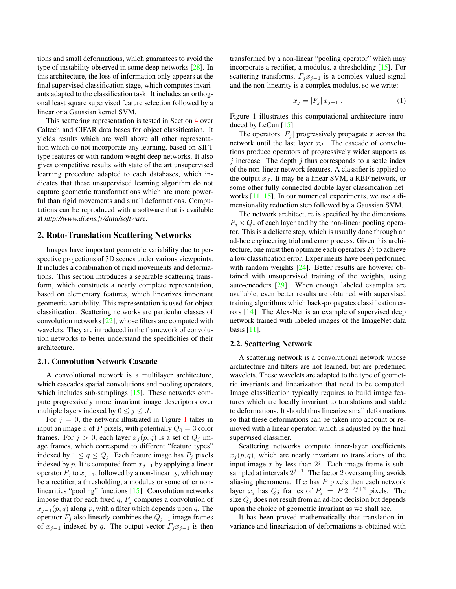<span id="page-1-1"></span>tions and small deformations, which guarantees to avoid the type of instability observed in some deep networks [\[28\]](#page-8-13). In this architecture, the loss of information only appears at the final supervised classification stage, which computes invariants adapted to the classification task. It includes an orthogonal least square supervised feature selection followed by a linear or a Gaussian kernel SVM.

This scattering representation is tested in Section [4](#page-5-0) over Caltech and CIFAR data bases for object classification. It yields results which are well above all other representation which do not incorporate any learning, based on SIFT type features or with random weight deep networks. It also gives competitive results with state of the art unsupervised learning procedure adapted to each databases, which indicates that these unsupervised learning algorithm do not capture geometric transformations which are more powerful than rigid movements and small deformations. Computations can be reproduced with a software that is available at *http://www.di.ens.fr/data/software*.

### <span id="page-1-0"></span>2. Roto-Translation Scattering Networks

Images have important geometric variability due to perspective projections of 3D scenes under various viewpoints. It includes a combination of rigid movements and deformations. This section introduces a separable scattering transform, which constructs a nearly complete representation, based on elementary features, which linearizes important geometric variability. This representation is used for object classification. Scattering networks are particular classes of convolution networks [\[22\]](#page-8-9), whose filters are computed with wavelets. They are introduced in the framework of convolution networks to better understand the specificities of their architecture.

#### 2.1. Convolution Network Cascade

A convolutional network is a multilayer architecture, which cascades spatial convolutions and pooling operators, which includes sub-samplings [\[15\]](#page-8-14). These networks compute progressively more invariant image descriptors over multiple layers indexed by  $0 \le j \le J$ .

For  $j = 0$ , the network illustrated in Figure [1](#page-2-0) takes in input an image x of P pixels, with potentially  $Q_0 = 3$  color frames. For  $j > 0$ , each layer  $x_j(p, q)$  is a set of  $Q_j$  image frames, which correspond to different "feature types" indexed by  $1 \le q \le Q_j$ . Each feature image has  $P_j$  pixels indexed by p. It is computed from  $x_{i-1}$  by applying a linear operator  $F_i$  to  $x_{i-1}$ , followed by a non-linearity, which may be a rectifier, a thresholding, a modulus or some other nonlinearities "pooling" functions [\[15\]](#page-8-14). Convolution networks impose that for each fixed  $q$ ,  $F_i$  computes a convolution of  $x_{j-1}(p, q)$  along p, with a filter which depends upon q. The operator  $F_j$  also linearly combines the  $Q_{j-1}$  image frames of  $x_{j-1}$  indexed by q. The output vector  $F_jx_{j-1}$  is then

transformed by a non-linear "pooling operator" which may incorporate a rectifier, a modulus, a thresholding [\[15\]](#page-8-14). For scattering transforms,  $F_j x_{j-1}$  is a complex valued signal and the non-linearity is a complex modulus, so we write:

$$
x_j = |F_j| \, x_{j-1} \,. \tag{1}
$$

Figure 1 illustrates this computational architecture introduced by LeCun [\[15\]](#page-8-14).

The operators  $|F_i|$  progressively propagate x across the network until the last layer  $x_J$ . The cascade of convolutions produce operators of progressively wider supports as  $i$  increase. The depth  $i$  thus corresponds to a scale index of the non-linear network features. A classifier is applied to the output  $x_J$ . It may be a linear SVM, a RBF network, or some other fully connected double layer classification networks [\[11,](#page-8-2) [15\]](#page-8-14). In our numerical experiments, we use a dimensionality reduction step followed by a Gaussian SVM.

The network architecture is specified by the dimensions  $P_i \times Q_i$  of each layer and by the non-linear pooling operator. This is a delicate step, which is usually done through an ad-hoc engineering trial and error process. Given this architecture, one must then optimize each operators  $F_i$  to achieve a low classification error. Experiments have been performed with random weights [\[24\]](#page-8-15). Better results are however obtained with unsupervised training of the weights, using auto-encoders [\[29\]](#page-8-16). When enough labeled examples are available, even better results are obtained with supervised training algorithms which back-propagates classification errors [\[14\]](#page-8-17). The Alex-Net is an example of supervised deep network trained with labeled images of the ImageNet data basis [\[11\]](#page-8-2).

### 2.2. Scattering Network

A scattering network is a convolutional network whose architecture and filters are not learned, but are predefined wavelets. These wavelets are adapted to the type of geometric invariants and linearization that need to be computed. Image classification typically requires to build image features which are locally invariant to translations and stable to deformations. It should thus linearize small deformations so that these deformations can be taken into account or removed with a linear operator, which is adjusted by the final supervised classifier.

Scattering networks compute inner-layer coefficients  $x_i(p, q)$ , which are nearly invariant to translations of the input image x by less than  $2^j$ . Each image frame is subsampled at intervals  $2^{j-1}$ . The factor 2 oversampling avoids aliasing phenomena. If  $x$  has  $P$  pixels then each network layer  $x_j$  has  $Q_j$  frames of  $P_j = P 2^{-2j+2}$  pixels. The size  $Q_i$  does not result from an ad-hoc decision but depends upon the choice of geometric invariant as we shall see.

It has been proved mathematically that translation invariance and linearization of deformations is obtained with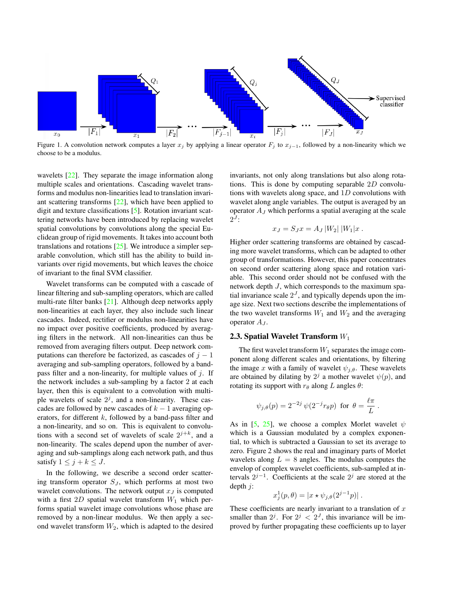<span id="page-2-1"></span>

<span id="page-2-0"></span>Figure 1. A convolution network computes a layer  $x_j$  by applying a linear operator  $F_j$  to  $x_{j-1}$ , followed by a non-linearity which we choose to be a modulus.

wavelets [\[22\]](#page-8-9). They separate the image information along multiple scales and orientations. Cascading wavelet transforms and modulus non-linearities lead to translation invariant scattering transforms [\[22\]](#page-8-9), which have been applied to digit and texture classifications [\[5\]](#page-8-10). Rotation invariant scattering networks have been introduced by replacing wavelet spatial convolutions by convolutions along the special Euclidean group of rigid movements. It takes into account both translations and rotations [\[25\]](#page-8-11). We introduce a simpler separable convolution, which still has the ability to build invariants over rigid movements, but which leaves the choice of invariant to the final SVM classifier.

Wavelet transforms can be computed with a cascade of linear filtering and sub-sampling operators, which are called multi-rate filter banks [\[21\]](#page-8-18). Although deep networks apply non-linearities at each layer, they also include such linear cascades. Indeed, rectifier or modulus non-linearities have no impact over positive coefficients, produced by averaging filters in the network. All non-linearities can thus be removed from averaging filters output. Deep network computations can therefore be factorized, as cascades of  $j - 1$ averaging and sub-sampling operators, followed by a bandpass filter and a non-linearity, for multiple values of  $j$ . If the network includes a sub-sampling by a factor 2 at each layer, then this is equivalent to a convolution with multiple wavelets of scale  $2<sup>j</sup>$ , and a non-linearity. These cascades are followed by new cascades of  $k - 1$  averaging operators, for different  $k$ , followed by a band-pass filter and a non-linearity, and so on. This is equivalent to convolutions with a second set of wavelets of scale  $2^{j+k}$ , and a non-linearity. The scales depend upon the number of averaging and sub-samplings along each network path, and thus satisfy  $1 \leq j + k \leq J$ .

In the following, we describe a second order scattering transform operator  $S_J$ , which performs at most two wavelet convolutions. The network output  $x_J$  is computed with a first  $2D$  spatial wavelet transform  $W_1$  which performs spatial wavelet image convolutions whose phase are removed by a non-linear modulus. We then apply a second wavelet transform  $W_2$ , which is adapted to the desired invariants, not only along translations but also along rotations. This is done by computing separable  $2D$  convolutions with wavelets along space, and  $1D$  convolutions with wavelet along angle variables. The output is averaged by an operator  $A_J$  which performs a spatial averaging at the scale  $2^J$ :

$$
x_J = S_J x = A_J |W_2| |W_1| x .
$$

Higher order scattering transforms are obtained by cascading more wavelet transforms, which can be adapted to other group of transformations. However, this paper concentrates on second order scattering along space and rotation variable. This second order should not be confused with the network depth J, which corresponds to the maximum spatial invariance scale  $2<sup>J</sup>$ , and typically depends upon the image size. Next two sections describe the implementations of the two wavelet transforms  $W_1$  and  $W_2$  and the averaging operator  $A_J$ .

### 2.3. Spatial Wavelet Transform  $W_1$

The first wavelet transform  $W_1$  separates the image component along different scales and orientations, by filtering the image x with a family of wavelet  $\psi_{j,\theta}$ . These wavelets are obtained by dilating by  $2^j$  a mother wavelet  $\psi(p)$ , and rotating its support with  $r_\theta$  along L angles  $\theta$ :

$$
\psi_{j,\theta}(p) = 2^{-2j} \psi(2^{-j}r_{\theta}p)
$$
 for  $\theta = \frac{\ell \pi}{L}$ .

As in [\[5,](#page-8-10) [25\]](#page-8-11), we choose a complex Morlet wavelet  $\psi$ which is a Gaussian modulated by a complex exponential, to which is subtracted a Gaussian to set its average to zero. Figure 2 shows the real and imaginary parts of Morlet wavelets along  $L = 8$  angles. The modulus computes the envelop of complex wavelet coefficients, sub-sampled at intervals  $2^{j-1}$ . Coefficients at the scale  $2^j$  are stored at the depth  $j$ :

$$
x_j^1(p,\theta) = |x \star \psi_{j,\theta}(2^{j-1}p)|.
$$

These coefficients are nearly invariant to a translation of  $x$ smaller than  $2^j$ . For  $2^j < 2^J$ , this invariance will be improved by further propagating these coefficients up to layer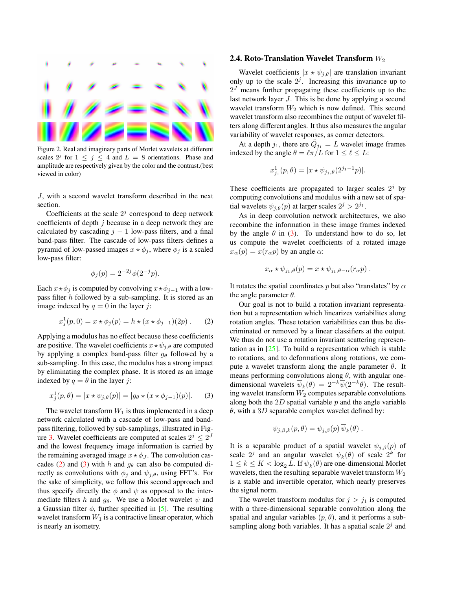<span id="page-3-2"></span>

Figure 2. Real and imaginary parts of Morlet wavelets at different scales  $2^j$  for  $1 \leq j \leq 4$  and  $L = 8$  orientations. Phase and amplitude are respectively given by the color and the contrast.(best viewed in color)

J, with a second wavelet transform described in the next section.

Coefficients at the scale  $2<sup>j</sup>$  correspond to deep network coefficients of depth  $j$  because in a deep network they are calculated by cascading  $j - 1$  low-pass filters, and a final band-pass filter. The cascade of low-pass filters defines a pyramid of low-passed images  $x \star \phi_i$ , where  $\phi_i$  is a scaled low-pass filter:

$$
\phi_j(p) = 2^{-2j} \phi(2^{-j}p).
$$

Each  $x \star \phi_i$  is computed by convolving  $x \star \phi_{i-1}$  with a lowpass filter  $h$  followed by a sub-sampling. It is stored as an image indexed by  $q = 0$  in the layer j:

<span id="page-3-0"></span>
$$
x_j^1(p,0) = x * \phi_j(p) = h * (x * \phi_{j-1})(2p).
$$
 (2)

Applying a modulus has no effect because these coefficients are positive. The wavelet coefficients  $x \star \psi_{j,\theta}$  are computed by applying a complex band-pass filter  $g_{\theta}$  followed by a sub-sampling. In this case, the modulus has a strong impact by eliminating the complex phase. It is stored as an image indexed by  $q = \theta$  in the layer j:

<span id="page-3-1"></span>
$$
x_j^1(p, \theta) = |x * \psi_{j, \theta}(p)| = |g_{\theta} * (x * \phi_{j-1})(p)|.
$$
 (3)

The wavelet transform  $W_1$  is thus implemented in a deep network calculated with a cascade of low-pass and bandpass filtering, followed by sub-samplings, illustrated in Fig-ure [3.](#page-4-0) Wavelet coefficients are computed at scales  $2^j \leq 2^j$ and the lowest frequency image information is carried by the remaining averaged image  $x \star \phi_J$ . The convolution cas-cades [\(2\)](#page-3-0) and [\(3\)](#page-3-1) with h and  $g_{\theta}$  can also be computed directly as convolutions with  $\phi_i$  and  $\psi_{i,\theta}$ , using FFT's. For the sake of simplicity, we follow this second approach and thus specify directly the  $\phi$  and  $\psi$  as opposed to the intermediate filters h and  $g_{\theta}$ . We use a Morlet wavelet  $\psi$  and a Gaussian filter  $\phi$ , further specified in [\[5\]](#page-8-10). The resulting wavelet transform  $W_1$  is a contractive linear operator, which is nearly an isometry.

#### 2.4. Roto-Translation Wavelet Transform  $W_2$

Wavelet coefficients  $|x * \psi_{j,\theta}|$  are translation invariant only up to the scale  $2<sup>j</sup>$ . Increasing this invariance up to  $2<sup>J</sup>$  means further propagating these coefficients up to the last network layer J. This is be done by applying a second wavelet transform  $W_2$  which is now defined. This second wavelet transform also recombines the output of wavelet filters along different angles. It thus also measures the angular variability of wavelet responses, as corner detectors.

At a depth  $j_1$ , there are  $\tilde{Q}_{j_1} = L$  wavelet image frames indexed by the angle  $\theta = \ell \pi / L$  for  $1 \leq \ell \leq L$ :

$$
x_{j_1}^1(p,\theta) = |x \star \psi_{j_1,\theta}(2^{j_1-1}p)|.
$$

These coefficients are propagated to larger scales  $2<sup>j</sup>$  by computing convolutions and modulus with a new set of spatial wavelets  $\psi_{j,\theta}(p)$  at larger scales  $2^j > 2^{j_1}$ .

As in deep convolution network architectures, we also recombine the information in these image frames indexed by the angle  $\theta$  in [\(3\)](#page-3-1). To understand how to do so, let us compute the wavelet coefficients of a rotated image  $x_\alpha(p) = x(r_\alpha p)$  by an angle  $\alpha$ :

$$
x_{\alpha} \star \psi_{j_1, \theta}(p) = x \star \psi_{j_1, \theta - \alpha}(r_{\alpha}p) .
$$

It rotates the spatial coordinates p but also "translates" by  $\alpha$ the angle parameter  $\theta$ .

Our goal is not to build a rotation invariant representation but a representation which linearizes variabilites along rotation angles. These totation variabilities can thus be discriminated or removed by a linear classifiers at the output. We thus do not use a rotation invariant scattering representation as in  $[25]$ . To build a representation which is stable to rotations, and to deformations along rotations, we compute a wavelet transform along the angle parameter  $\theta$ . It means performing convolutions along  $\theta$ , with angular onedimensional wavelets  $\overline{\psi}_k(\theta) = 2^{-k} \overline{\psi}(2^{-k}\theta)$ . The resulting wavelet transform  $W_2$  computes separable convolutions along both the 2D spatial variable  $p$  and the angle variable  $\theta$ , with a 3D separable complex wavelet defined by:

$$
\psi_{j,\beta,k}(p,\theta) = \psi_{j,\beta}(p) \,\overline{\psi}_k(\theta) \ .
$$

It is a separable product of a spatial wavelet  $\psi_{j,\beta}(p)$  of scale  $2^j$  and an angular wavelet  $\overline{\psi}_k(\theta)$  of scale  $2^k$  for  $1 \leq k \leq K < \log_2 L$ . If  $\overline{\psi}_k(\theta)$  are one-dimensional Morlet wavelets, then the resulting separable wavelet transform  $W_2$ is a stable and invertible operator, which nearly preserves the signal norm.

The wavelet transform modulus for  $j > j_1$  is computed with a three-dimensional separable convolution along the spatial and angular variables  $(p, \theta)$ , and it performs a subsampling along both variables. It has a spatial scale  $2<sup>j</sup>$  and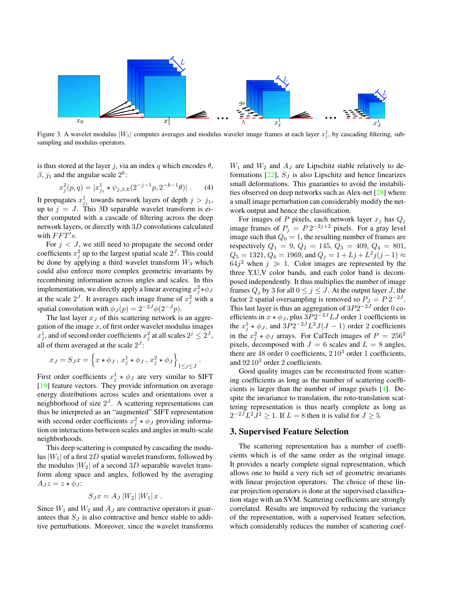<span id="page-4-1"></span>

<span id="page-4-0"></span>Figure 3. A wavelet modulus  $|W_1|$  computes averages and modulus wavelet image frames at each layer  $x_j^1$ , by cascading filtering, subsampling and modulus operators.

is thus stored at the layer j, via an index q which encodes  $\theta$ ,  $\beta$ ,  $j_1$  and the angular scale  $2^k$ :

$$
x_j^2(p,q) = |x_{j_1}^1 \star \psi_{j,\beta,k}(2^{-j-1}p, 2^{-k-1}\theta)|.
$$
 (4)

It propagates  $x_{j_1}^1$  towards network layers of depth  $j > j_1$ , up to  $j = J$ . This 3D separable wavelet transform is either computed with a cascade of filtering across the deep network layers, or directly with 3D convolutions calculated with  $FFT's$ .

For  $j < J$ , we still need to propagate the second order coefficients  $x_j^2$  up to the largest spatial scale  $2^J$ . This could be done by applying a third wavelet transform  $W_3$  which could also enforce more complex geometric invariants by recombining information across angles and scales. In this implementation, we directly apply a linear averaging  $x_j^2 \star \phi_j$ at the scale  $2^J$ . It averages each image frame of  $x_j^2$  with a spatial convolution with  $\phi_J(p) = 2^{-2J} \phi(2^{-J} p)$ .

The last layer  $x_j$  of this scattering network is an aggregation of the image  $x$ , of first order wavelet modulus images  $x_j^1$ , and of second order coefficients  $x_j^2$  at all scales  $2^j \leq 2^J$ , all of them averaged at the scale  $2<sup>J</sup>$ :

$$
x_J = S_J x = \left\{ x \star \phi_J, \, x_j^1 \star \phi_J, \, x_j^2 \star \phi_J \right\}_{1 \leq j \leq J}.
$$

First order coefficients  $x_j^1 \star \phi_j$  are very similar to SIFT [\[19\]](#page-8-0) feature vectors. They provide information on average energy distributions across scales and orientations over a neighborhood of size  $2<sup>J</sup>$ . A scattering representations can thus be interpreted as an "augmented" SIFT representation with second order coefficients  $x_j^2 \star \phi_j$  providing information on interactions between scales and angles in multi-scale neighborhoods.

This deep scattering is computed by cascading the modulus  $|W_1|$  of a first 2D spatial wavelet transform, followed by the modulus  $|W_2|$  of a second 3D separable wavelet transform along space and angles, followed by the averaging  $A_J z = z \star \phi_J$ :

$$
S_J x = A_J |W_2| |W_1| x .
$$

Since  $W_1$  and  $W_2$  and  $A_J$  are contractive operators it guarantees that  $S_J$  is also contractive and hence stable to additive perturbations. Moreover, since the wavelet transforms  $W_1$  and  $W_2$  and  $A_J$  are Lipschitz stable relatively to deformations  $[22]$ ,  $S_J$  is also Lipschitz and hence linearizes small deformations. This guaranties to avoid the instabilities observed on deep networks such as Alex-net [\[28\]](#page-8-13) where a small image perturbation can considerably modify the network output and hence the classification.

For images of P pixels, each network layer  $x_i$  has  $Q_i$ image frames of  $P_j = P 2^{-2j+2}$  pixels. For a gray level image such that  $Q_0 = 1$ , the resulting number of frames are respectively  $Q_1 = 9$ ,  $Q_2 = 145$ ,  $Q_3 = 409$ ,  $Q_4 = 801$ ,  $Q_5 = 1321, Q_6 = 1969$ , and  $Q_j = 1 + Lj + L^2j(j-1) \approx$  $64j<sup>2</sup>$  when  $j \gg 1$ . Color images are represented by the three Y,U,V color bands, and each color band is decomposed independently. It thus multiplies the number of image frames  $Q_j$  by 3 for all  $0 \le j \le J$ . At the output layer J, the factor 2 spatial oversampling is removed so  $P_J = P 2^{-2J}$ . This last layer is thus an aggregation of  $3P2^{-2J}$  order 0 coefficients in  $x \star \phi_J$ , plus  $3P2^{-2J}LJ$  order 1 coefficients in the  $x_j^1 \star \phi_j$ , and  $3P2^{-2J}L^2J(J-1)$  order 2 coefficients in the  $x_j^2 \star \phi_J$  arrays. For CalTech images of  $P = 256^2$ pixels, decomposed with  $J = 6$  scales and  $L = 8$  angles, there are 48 order 0 coefficients,  $2\,10^3$  order 1 coefficients, and  $92\,10^3$  order 2 coefficients.

Good quality images can be reconstructed from scattering coefficients as long as the number of scattering coefficients is larger than the number of image pixels [\[4\]](#page-8-12). Despite the invariance to translation, the roto-translation scattering representation is thus nearly complete as long as  $2^{-2J}L^2J^2 \geq 1$ . If  $L = 8$  then it is valid for  $J \geq 5$ .

### 3. Supervised Feature Selection

The scattering representation has a number of coefficients which is of the same order as the original image. It provides a nearly complete signal representation, which allows one to build a very rich set of geometric invariants with linear projection operators. The choice of these linear projection operators is done at the supervised classification stage with an SVM. Scattering coefficients are strongly correlated. Results are improved by reducing the variance of the representation, with a supervised feature selection, which considerably reduces the number of scattering coef-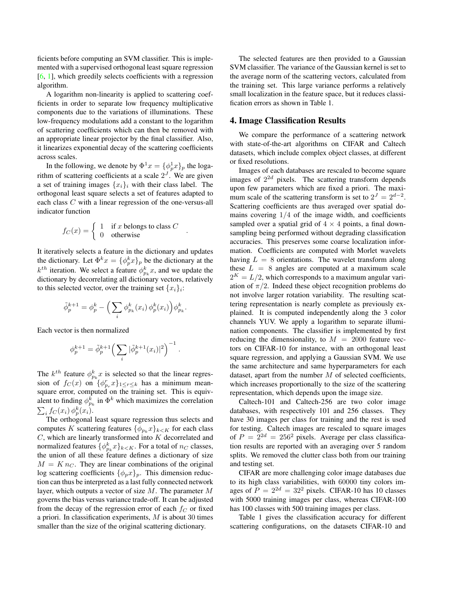<span id="page-5-1"></span>ficients before computing an SVM classifier. This is implemented with a supervised orthogonal least square regression [\[6,](#page-8-19) [1\]](#page-7-0), which greedily selects coefficients with a regression algorithm.

A logarithm non-linearity is applied to scattering coefficients in order to separate low frequency multiplicative components due to the variations of illuminations. These low-frequency modulations add a constant to the logarithm of scattering coefficients which can then be removed with an appropriate linear projector by the final classifier. Also, it linearizes exponential decay of the scattering coefficients across scales.

In the following, we denote by  $\Phi^1 x = {\phi_p^1 x}_p$  the logarithm of scattering coefficients at a scale  $2<sup>J</sup>$ . We are given a set of training images  $\{x_i\}_i$  with their class label. The orthogonal least square selects a set of features adapted to each class C with a linear regression of the one-versus-all indicator function

$$
f_C(x) = \begin{cases} 1 & \text{if } x \text{ belongs to class } C \\ 0 & \text{otherwise} \end{cases}.
$$

It iteratively selects a feature in the dictionary and updates the dictionary. Let  $\Phi^k x = {\phi^k_p x}_p$  be the dictionary at the  $k^{th}$  iteration. We select a feature  $\phi_{p_k}^k x$ , and we update the dictionary by decorrelating all dictionary vectors, relatively to this selected vector, over the training set  $\{x_i\}_i$ :

$$
\tilde{\phi}_p^{k+1} = \phi_p^k - \left(\sum_i \phi_{p_k}^k(x_i) \,\phi_p^k(x_i)\right) \phi_{p_k}^k.
$$

Each vector is then normalized

$$
\phi_p^{k+1} = \tilde{\phi}_p^{k+1} \Big( \sum_i |\tilde{\phi}_p^{k+1}(x_i)|^2 \Big)^{-1} \; .
$$

The  $k^{th}$  feature  $\phi_{p_k}^k x$  is selected so that the linear regression of  $f_C(x)$  on  $\{\phi_{p_r}^r x\}_{1 \leq r \leq k}$  has a minimum meansquare error, computed on the training set. This is equivalent to finding  $\phi_{p_k}^k$  in  $\Phi^k$  which maximizes the correlation  $\sum_i f_C(x_i) \phi_p^k(x_i)$ .

The orthogonal least square regression thus selects and computes K scattering features  $\{\phi_{p_k} x\}_{k\lt K}$  for each class  $C$ , which are linearly transformed into  $K$  decorrelated and normalized features  $\{\phi_{p_k}^k x\}_{k < K}$ . For a total of  $n_C$  classes, the union of all these feature defines a dictionary of size  $M = K n_C$ . They are linear combinations of the original log scattering coefficients  $\{\phi_p x\}_p$ . This dimension reduction can thus be interpreted as a last fully connected network layer, which outputs a vector of size  $M$ . The parameter  $M$ governs the bias versus variance trade-off. It can be adjusted from the decay of the regression error of each  $f_C$  or fixed a priori. In classification experiments, M is about 30 times smaller than the size of the original scattering dictionary.

The selected features are then provided to a Gaussian SVM classifier. The variance of the Gaussian kernel is set to the average norm of the scattering vectors, calculated from the training set. This large variance performs a relatively small localization in the feature space, but it reduces classification errors as shown in Table 1.

### <span id="page-5-0"></span>4. Image Classification Results

We compare the performance of a scattering network with state-of-the-art algorithms on CIFAR and Caltech datasets, which include complex object classes, at different or fixed resolutions.

Images of each databases are rescaled to become square images of  $2^{2d}$  pixels. The scattering transform depends upon few parameters which are fixed a priori. The maximum scale of the scattering transform is set to  $2^J = 2^{d-2}$ . Scattering coefficients are thus averaged over spatial domains covering  $1/4$  of the image width, and coefficients sampled over a spatial grid of  $4 \times 4$  points, a final downsampling being performed without degrading classification accuracies. This preserves some coarse localization information. Coefficients are computed with Morlet wavelets having  $L = 8$  orientations. The wavelet transform along these  $L = 8$  angles are computed at a maximum scale  $2^K = L/2$ , which corresponds to a maximum angular variation of  $\pi/2$ . Indeed these object recognition problems do not involve larger rotation variability. The resulting scattering representation is nearly complete as previously explained. It is computed independently along the 3 color channels YUV. We apply a logarithm to separate illumination components. The classifier is implemented by first reducing the dimensionality, to  $M = 2000$  feature vectors on CIFAR-10 for instance, with an orthogonal least square regression, and applying a Gaussian SVM. We use the same architecture and same hyperparameters for each dataset, apart from the number  $M$  of selected coefficients, which increases proportionally to the size of the scattering representation, which depends upon the image size.

Caltech-101 and Caltech-256 are two color image databases, with respectively 101 and 256 classes. They have 30 images per class for training and the rest is used for testing. Caltech images are rescaled to square images of  $P = 2^{2d} = 256^2$  pixels. Average per class classification results are reported with an averaging over 5 random splits. We removed the clutter class both from our training and testing set.

CIFAR are more challenging color image databases due to its high class variabilities, with 60000 tiny colors images of  $P = 2^{2d} = 32^2$  pixels. CIFAR-10 has 10 classes with 5000 training images per class, whereas CIFAR-100 has 100 classes with 500 training images per class.

Table 1 gives the classification accuracy for different scattering configurations, on the datasets CIFAR-10 and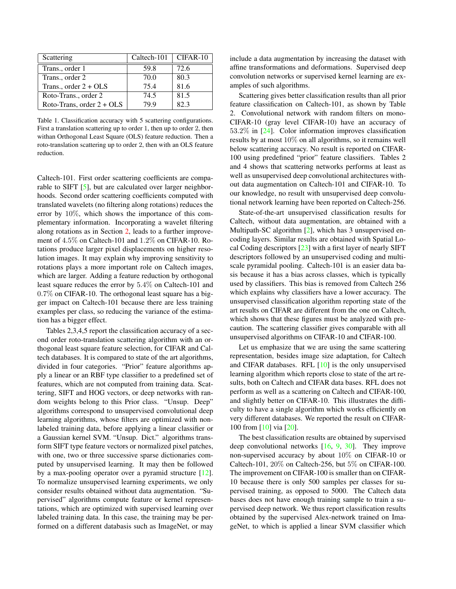<span id="page-6-0"></span>

| Scattering                  | Caltech-101 | CIFAR-10 |
|-----------------------------|-------------|----------|
| Trans., order 1             | 59.8        | 72.6     |
| Trans., order 2             | 70.0        | 80.3     |
| Trans., order $2 + OLS$     | 75.4        | 81.6     |
| Roto-Trans., order 2        | 74.5        | 81.5     |
| Roto-Trans, order $2 + OLS$ | 79.9        | 82.3     |

Table 1. Classification accuracy with 5 scattering configurations. First a translation scattering up to order 1, then up to order 2, then withan Orthogonal Least Square (OLS) feature reduction. Then a roto-translation scattering up to order 2, then with an OLS feature reduction.

Caltech-101. First order scattering coefficients are comparable to SIFT [\[5\]](#page-8-10), but are calculated over larger neighborhoods. Second order scattering coefficients computed with translated wavelets (no filtering along rotations) reduces the error by 10%, which shows the importance of this complementary information. Incorporating a wavelet filtering along rotations as in Section [2,](#page-1-0) leads to a further improvement of 4.5% on Caltech-101 and 1.2% on CIFAR-10. Rotations produce larger pixel displacements on higher resolution images. It may explain why improving sensitivity to rotations plays a more important role on Caltech images, which are larger. Adding a feature reduction by orthogonal least square reduces the error by 5.4% on Caltech-101 and 0.7% on CIFAR-10. The orthogonal least square has a bigger impact on Caltech-101 because there are less training examples per class, so reducing the variance of the estimation has a bigger effect.

Tables 2,3,4,5 report the classification accuracy of a second order roto-translation scattering algorithm with an orthogonal least square feature selection, for CIFAR and Caltech databases. It is compared to state of the art algorithms, divided in four categories. "Prior" feature algorithms apply a linear or an RBF type classifier to a predefined set of features, which are not computed from training data. Scattering, SIFT and HOG vectors, or deep networks with random weights belong to this Prior class. "Unsup. Deep" algorithms correspond to unsupervised convolutional deep learning algorithms, whose filters are optimized with nonlabeled training data, before applying a linear classifier or a Gaussian kernel SVM. "Unsup. Dict." algorithms transform SIFT type feature vectors or normalized pixel patches, with one, two or three successive sparse dictionaries computed by unsupervised learning. It may then be followed by a max-pooling operator over a pyramid structure [\[12\]](#page-8-8). To normalize unsupervised learning experiments, we only consider results obtained without data augmentation. "Supervised" algorithms compute feature or kernel representations, which are optimized with supervised learning over labeled training data. In this case, the training may be performed on a different databasis such as ImageNet, or may

include a data augmentation by increasing the dataset with affine transformations and deformations. Supervised deep convolution networks or supervised kernel learning are examples of such algorithms.

Scattering gives better classification results than all prior feature classification on Caltech-101, as shown by Table 2. Convolutional network with random filters on mono-CIFAR-10 (gray level CIFAR-10) have an accuracy of 53.2% in [\[24\]](#page-8-15). Color information improves classification results by at most 10% on all algorithms, so it remains well below scattering accuracy. No result is reported on CIFAR-100 using predefined "prior" feature classifiers. Tables 2 and 4 shows that scattering networks performs at least as well as unsupervised deep convolutional architectures without data augmentation on Caltech-101 and CIFAR-10. To our knowledge, no result with unsupervised deep convolutional network learning have been reported on Caltech-256.

State-of-the-art unsupervised classification results for Caltech, without data augmentation, are obtained with a Multipath-SC algorithm [\[2\]](#page-7-1), which has 3 unsupervised encoding layers. Similar results are obtained with Spatial Local Coding descriptors [\[23\]](#page-8-20) with a first layer of nearly SIFT descriptors followed by an unsupervised coding and multiscale pyramidal pooling. Caltech-101 is an easier data basis because it has a bias across classes, which is typically used by classifiers. This bias is removed from Caltech 256 which explains why classifiers have a lower accuracy. The unsupervised classification algorithm reporting state of the art results on CIFAR are different from the one on Caltech, which shows that these figures must be analyzed with precaution. The scattering classifier gives comparable with all unsupervised algorithms on CIFAR-10 and CIFAR-100.

Let us emphasize that we are using the same scattering representation, besides image size adaptation, for Caltech and CIFAR databases. RFL [\[10\]](#page-8-21) is the only unsupervised learning algorithm which reports close to state of the art results, both on Caltech and CIFAR data bases. RFL does not perform as well as a scattering on Caltech and CIFAR-100, and slightly better on CIFAR-10. This illustrates the difficulty to have a single algorithm which works efficiently on very different databases. We reported the result on CIFAR-100 from [\[10\]](#page-8-21) via [\[20\]](#page-8-22).

The best classification results are obtained by supervised deep convolutional networks [\[16,](#page-8-3) [9,](#page-8-23) [30\]](#page-8-4). They improve non-supervised accuracy by about 10% on CIFAR-10 or Caltech-101, 20% on Caltech-256, but 5% on CIFAR-100. The improvement on CIFAR-100 is smaller than on CIFAR-10 because there is only 500 samples per classes for supervised training, as opposed to 5000. The Caltech data bases does not have enough training sample to train a supervised deep network. We thus report classification results obtained by the supervised Alex-network trained on ImageNet, to which is applied a linear SVM classifier which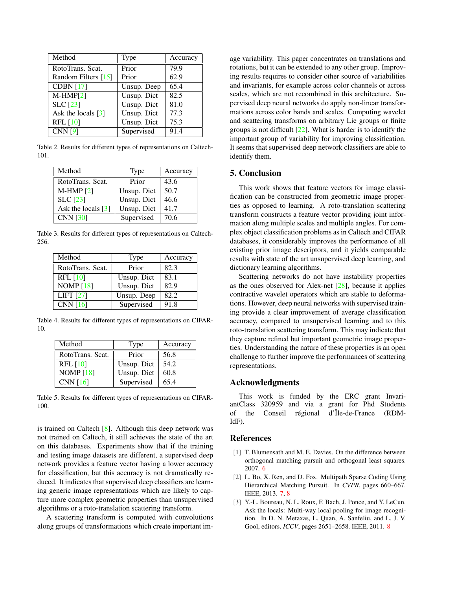<span id="page-7-3"></span>

| Method              | Type        | Accuracy |
|---------------------|-------------|----------|
| RotoTrans. Scat.    | Prior       | 79.9     |
| Random Filters [15] | Prior       | 62.9     |
| <b>CDBN</b> [17]    | Unsup. Deep | 65.4     |
| $M$ -HMP $[2]$      | Unsup. Dict | 82.5     |
| $SLC$ [23]          | Unsup. Dict | 81.0     |
| Ask the locals [3]  | Unsup. Dict | 77.3     |
| <b>RFL [10]</b>     | Unsup. Dict | 75.3     |
| <b>CNN</b> [9]      | Supervised  | 91.4     |

Table 2. Results for different types of representations on Caltech-101.

| Method               | Type        | Accuracy |
|----------------------|-------------|----------|
| RotoTrans. Scat.     | Prior       | 43.6     |
| $M$ -HMP $[2]$       | Unsup. Dict | 50.7     |
| $SLC$ [23]           | Unsup. Dict | 46.6     |
| Ask the locals $[3]$ | Unsup. Dict | 41.7     |
| <b>CNN [30]</b>      | Supervised  | 70.6     |

Table 3. Results for different types of representations on Caltech-256.

| Method           | Type        | Accuracy |
|------------------|-------------|----------|
| RotoTrans. Scat. | Prior       | 82.3     |
| <b>RFL [10]</b>  | Unsup. Dict | 83.1     |
| NOMP $[18]$      | Unsup. Dict | 82.9     |
| <b>LIFT</b> [27] | Unsup. Deep | 82.2     |
| CNN[16]          | Supervised  | 91.8     |

Table 4. Results for different types of representations on CIFAR-10.

| Method           | Type        | Accuracy |
|------------------|-------------|----------|
| RotoTrans. Scat. | Prior       | 56.8     |
| <b>RFL [10]</b>  | Unsup. Dict | 54.2     |
| <b>NOMP [18]</b> | Unsup. Dict | 60.8     |
| <b>CNN [16]</b>  | Supervised  | 65.4     |

Table 5. Results for different types of representations on CIFAR-100.

is trained on Caltech [\[8\]](#page-8-5). Although this deep network was not trained on Caltech, it still achieves the state of the art on this databases. Experiments show that if the training and testing image datasets are different, a supervised deep network provides a feature vector having a lower accuracy for classification, but this accuracy is not dramatically reduced. It indicates that supervised deep classifiers are learning generic image representations which are likely to capture more complex geometric properties than unsupervised algorithms or a roto-translation scattering transform.

A scattering transform is computed with convolutions along groups of transformations which create important image variability. This paper concentrates on translations and rotations, but it can be extended to any other group. Improving results requires to consider other source of variabilities and invariants, for example across color channels or across scales, which are not recombined in this architecture. Supervised deep neural networks do apply non-linear transformations across color bands and scales. Computing wavelet and scattering transforms on arbitrary Lie groups or finite groups is not difficult [\[22\]](#page-8-9). What is harder is to identify the important group of variability for improving classification. It seems that supervised deep network classifiers are able to identify them.

# 5. Conclusion

This work shows that feature vectors for image classification can be constructed from geometric image properties as opposed to learning. A roto-translation scattering transform constructs a feature vector providing joint information along multiple scales and multiple angles. For complex object classification problems as in Caltech and CIFAR databases, it considerably improves the performance of all existing prior image descriptors, and it yields comparable results with state of the art unsupervised deep learning, and dictionary learning algorithms.

Scattering networks do not have instability properties as the ones observed for Alex-net [\[28\]](#page-8-13), because it applies contractive wavelet operators which are stable to deformations. However, deep neural networks with supervised training provide a clear improvement of average classification accuracy, compared to unsupervised learning and to this roto-translation scattering transform. This may indicate that they capture refined but important geometric image properties. Understanding the nature of these properties is an open challenge to further improve the performances of scattering representations.

# Acknowledgments

This work is funded by the ERC grant InvariantClass 320959 and via a grant for Phd Students of the Conseil régional d'Île-de-France (RDM-IdF).

### References

- <span id="page-7-0"></span>[1] T. Blumensath and M. E. Davies. On the difference between orthogonal matching pursuit and orthogonal least squares. 2007. [6](#page-5-1)
- <span id="page-7-1"></span>[2] L. Bo, X. Ren, and D. Fox. Multipath Sparse Coding Using Hierarchical Matching Pursuit. In *CVPR*, pages 660–667. IEEE, 2013. [7,](#page-6-0) [8](#page-7-3)
- <span id="page-7-2"></span>[3] Y.-L. Boureau, N. L. Roux, F. Bach, J. Ponce, and Y. LeCun. Ask the locals: Multi-way local pooling for image recognition. In D. N. Metaxas, L. Quan, A. Sanfeliu, and L. J. V. Gool, editors, *ICCV*, pages 2651–2658. IEEE, 2011. [8](#page-7-3)